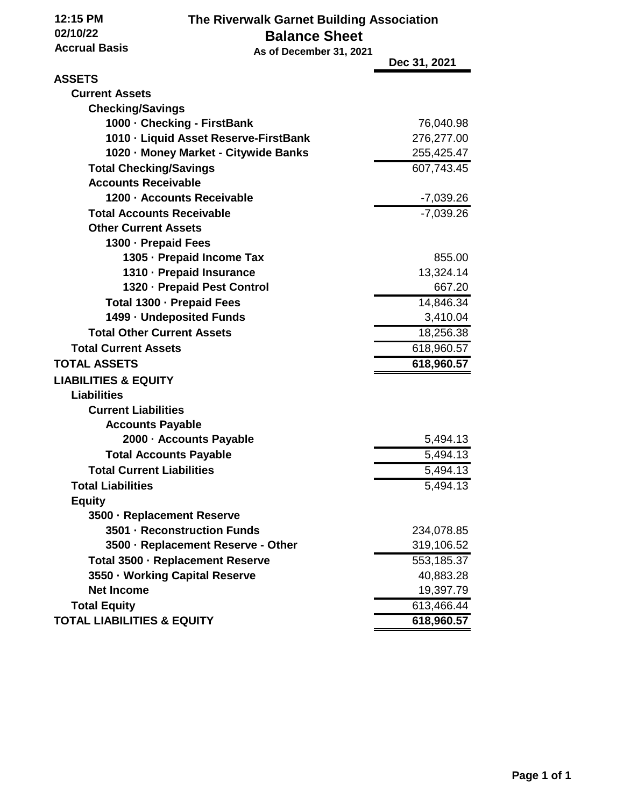**12:15 PM 02/10/22**

## **The Riverwalk Garnet Building Association Balance Sheet**

| <b>Accrual Basis</b><br>As of December 31, 2021 |  |              |
|-------------------------------------------------|--|--------------|
|                                                 |  | Dec 31, 2021 |
| <b>ASSETS</b>                                   |  |              |
| <b>Current Assets</b>                           |  |              |
| <b>Checking/Savings</b>                         |  |              |
| 1000 - Checking - FirstBank                     |  | 76,040.98    |
| 1010 - Liquid Asset Reserve-FirstBank           |  | 276,277.00   |
| 1020 - Money Market - Citywide Banks            |  | 255,425.47   |
| <b>Total Checking/Savings</b>                   |  | 607,743.45   |
| <b>Accounts Receivable</b>                      |  |              |
| 1200 - Accounts Receivable                      |  | $-7,039.26$  |
| <b>Total Accounts Receivable</b>                |  | $-7,039.26$  |
| <b>Other Current Assets</b>                     |  |              |
| 1300 - Prepaid Fees                             |  |              |
| 1305 · Prepaid Income Tax                       |  | 855.00       |
| 1310 · Prepaid Insurance                        |  | 13,324.14    |
| 1320 - Prepaid Pest Control                     |  | 667.20       |
| Total 1300 - Prepaid Fees                       |  | 14,846.34    |
| 1499 - Undeposited Funds                        |  | 3,410.04     |
| <b>Total Other Current Assets</b>               |  | 18,256.38    |
| <b>Total Current Assets</b>                     |  | 618,960.57   |
| <b>TOTAL ASSETS</b>                             |  | 618,960.57   |
| <b>LIABILITIES &amp; EQUITY</b>                 |  |              |
| <b>Liabilities</b>                              |  |              |
| <b>Current Liabilities</b>                      |  |              |
| <b>Accounts Payable</b>                         |  |              |
| 2000 - Accounts Payable                         |  | 5,494.13     |
| <b>Total Accounts Payable</b>                   |  | 5,494.13     |
| <b>Total Current Liabilities</b>                |  | 5,494.13     |
| <b>Total Liabilities</b>                        |  | 5,494.13     |
| <b>Equity</b>                                   |  |              |
| 3500 - Replacement Reserve                      |  |              |
| 3501 - Reconstruction Funds                     |  | 234,078.85   |
| 3500 - Replacement Reserve - Other              |  | 319,106.52   |
| Total 3500 - Replacement Reserve                |  | 553,185.37   |
| 3550 · Working Capital Reserve                  |  | 40,883.28    |
| <b>Net Income</b>                               |  | 19,397.79    |
| <b>Total Equity</b>                             |  | 613,466.44   |
| <b>TOTAL LIABILITIES &amp; EQUITY</b>           |  | 618,960.57   |